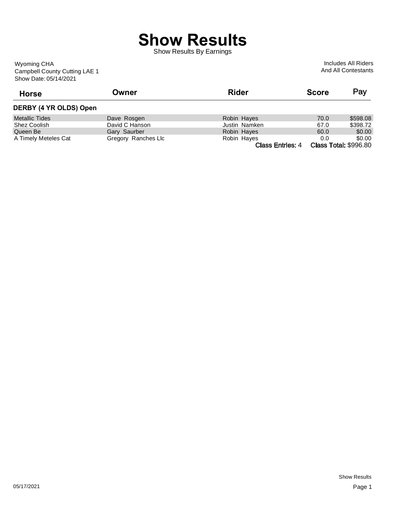## **Show Results**

Show Results By Earnings

Show Date: 05/14/2021 Campbell County Cutting LAE 1 Wyoming CHA

Includes All Riders And All Contestants

| <b>Horse</b>           | Owner               | <b>Rider</b>            | <b>Score</b> | Pay                          |
|------------------------|---------------------|-------------------------|--------------|------------------------------|
| DERBY (4 YR OLDS) Open |                     |                         |              |                              |
| <b>Metallic Tides</b>  | Dave Rosgen         | Robin Hayes             | 70.0         | \$598.08                     |
| Shez Coolish           | David C Hanson      | Justin Namken           | 67.0         | \$398.72                     |
| Queen Be               | Gary Saurber        | Robin Hayes             | 60.0         | \$0.00                       |
| A Timely Meteles Cat   | Gregory Ranches Llc | Robin Hayes             | 0.0          | \$0.00                       |
|                        |                     | <b>Class Entries: 4</b> |              | <b>Class Total: \$996.80</b> |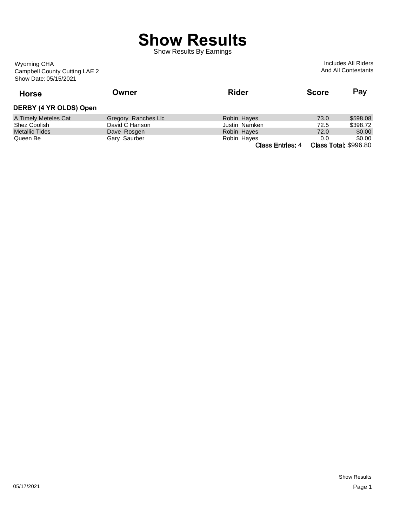## **Show Results**

Show Results By Earnings

Show Date: 05/15/2021 Campbell County Cutting LAE 2 Wyoming CHA

Includes All Riders And All Contestants

| <b>Horse</b>           | Owner               | <b>Rider</b>            | <b>Score</b> | Pay                          |
|------------------------|---------------------|-------------------------|--------------|------------------------------|
| DERBY (4 YR OLDS) Open |                     |                         |              |                              |
| A Timely Meteles Cat   | Gregory Ranches Llc | Robin Hayes             | 73.0         | \$598.08                     |
| Shez Coolish           | David C Hanson      | Justin Namken           | 72.5         | \$398.72                     |
| <b>Metallic Tides</b>  | Dave Rosgen         | Robin Hayes             | 72.0         | \$0.00                       |
| Queen Be               | Gary Saurber        | Robin Hayes             | 0.0          | \$0.00                       |
|                        |                     | <b>Class Entries: 4</b> |              | <b>Class Total: \$996.80</b> |